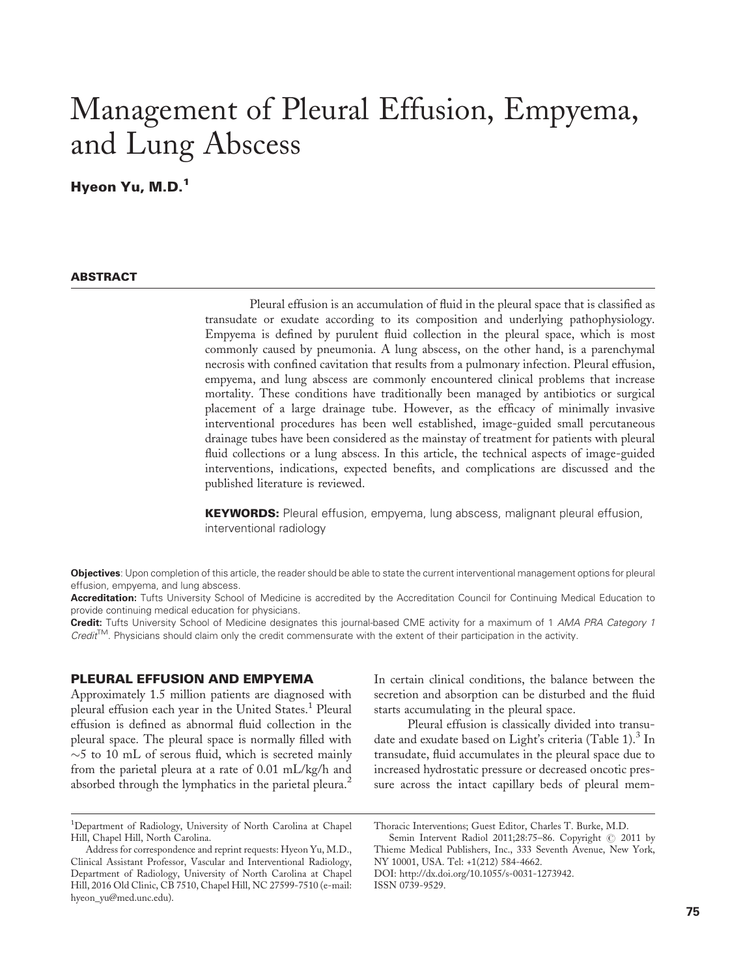# Management of Pleural Effusion, Empyema, and Lung Abscess

Hyeon Yu, M.D.<sup>1</sup>

### **ABSTRACT**

Pleural effusion is an accumulation of fluid in the pleural space that is classified as transudate or exudate according to its composition and underlying pathophysiology. Empyema is defined by purulent fluid collection in the pleural space, which is most commonly caused by pneumonia. A lung abscess, on the other hand, is a parenchymal necrosis with confined cavitation that results from a pulmonary infection. Pleural effusion, empyema, and lung abscess are commonly encountered clinical problems that increase mortality. These conditions have traditionally been managed by antibiotics or surgical placement of a large drainage tube. However, as the efficacy of minimally invasive interventional procedures has been well established, image-guided small percutaneous drainage tubes have been considered as the mainstay of treatment for patients with pleural fluid collections or a lung abscess. In this article, the technical aspects of image-guided interventions, indications, expected benefits, and complications are discussed and the published literature is reviewed.

**KEYWORDS:** Pleural effusion, empyema, lung abscess, malignant pleural effusion, interventional radiology

Objectives: Upon completion of this article, the reader should be able to state the current interventional management options for pleural effusion, empyema, and lung abscess.

Accreditation: Tufts University School of Medicine is accredited by the Accreditation Council for Continuing Medical Education to provide continuing medical education for physicians.

Credit: Tufts University School of Medicine designates this journal-based CME activity for a maximum of 1 AMA PRA Category 1  $Credit^{TM}$ . Physicians should claim only the credit commensurate with the extent of their participation in the activity.

## PLEURAL EFFUSION AND EMPYEMA

Approximately 1.5 million patients are diagnosed with pleural effusion each year in the United States.<sup>1</sup> Pleural effusion is defined as abnormal fluid collection in the pleural space. The pleural space is normally filled with  $\sim$ 5 to 10 mL of serous fluid, which is secreted mainly from the parietal pleura at a rate of 0.01 mL/kg/h and absorbed through the lymphatics in the parietal pleura.<sup>2</sup>

In certain clinical conditions, the balance between the secretion and absorption can be disturbed and the fluid starts accumulating in the pleural space.

Pleural effusion is classically divided into transudate and exudate based on Light's criteria (Table 1).<sup>3</sup> In transudate, fluid accumulates in the pleural space due to increased hydrostatic pressure or decreased oncotic pressure across the intact capillary beds of pleural mem-

Semin Intervent Radiol 2011;28:75-86. Copyright  $\oslash$  2011 by Thieme Medical Publishers, Inc., 333 Seventh Avenue, New York, NY 10001, USA. Tel: +1(212) 584-4662.

DOI: http://dx.doi.org/10.1055/s-0031-1273942.

ISSN 0739-9529.

<sup>&</sup>lt;sup>1</sup>Department of Radiology, University of North Carolina at Chapel Hill, Chapel Hill, North Carolina.

Address for correspondence and reprint requests: Hyeon Yu, M.D., Clinical Assistant Professor, Vascular and Interventional Radiology, Department of Radiology, University of North Carolina at Chapel Hill, 2016 Old Clinic, CB 7510, Chapel Hill, NC 27599-7510 (e-mail: hyeon\_yu@med.unc.edu).

Thoracic Interventions; Guest Editor, Charles T. Burke, M.D.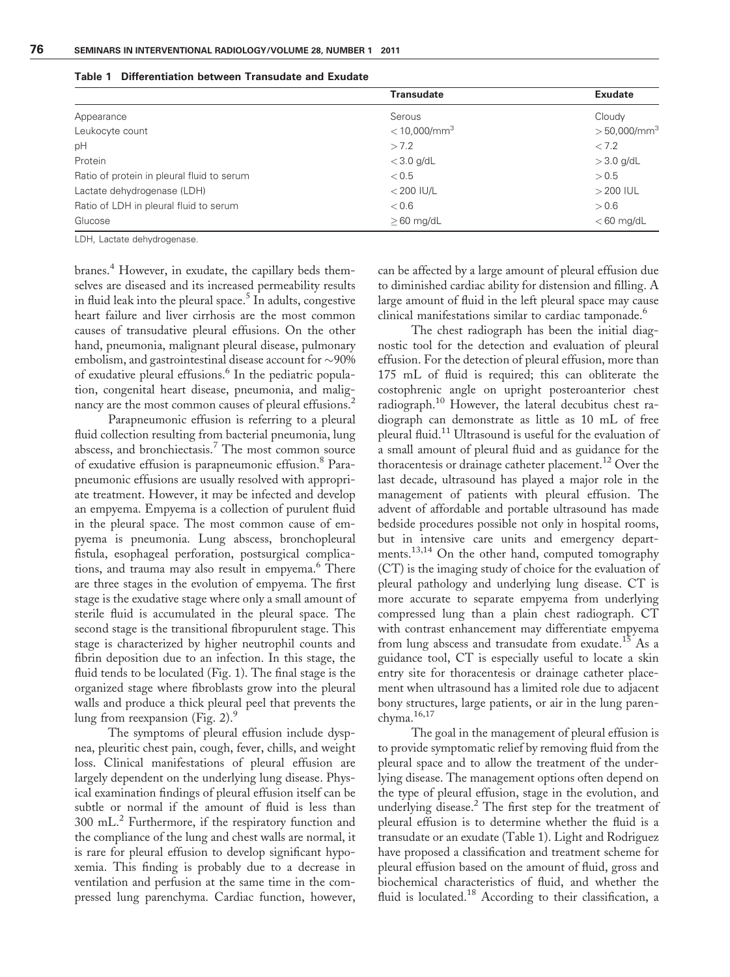|                                            | <b>Transudate</b>          | <b>Exudate</b>             |
|--------------------------------------------|----------------------------|----------------------------|
| Appearance                                 | Serous                     | Cloudy                     |
| Leukocyte count                            | $<$ 10,000/mm <sup>3</sup> | $>$ 50,000/mm <sup>3</sup> |
| pH                                         | >7.2                       | < 7.2                      |
| Protein                                    | $<$ 3.0 g/dL               | $>$ 3.0 g/dL               |
| Ratio of protein in pleural fluid to serum | < 0.5                      | > 0.5                      |
| Lactate dehydrogenase (LDH)                | $<$ 200 IU/L               | $>$ 200 IUL                |
| Ratio of LDH in pleural fluid to serum     | < 0.6                      | > 0.6                      |
| Glucose                                    | $>60$ mg/dL                | $<$ 60 mg/dL               |

Table 1 Differentiation between Transudate and Exudate

LDH, Lactate dehydrogenase.

branes.<sup>4</sup> However, in exudate, the capillary beds themselves are diseased and its increased permeability results in fluid leak into the pleural space.<sup>5</sup> In adults, congestive heart failure and liver cirrhosis are the most common causes of transudative pleural effusions. On the other hand, pneumonia, malignant pleural disease, pulmonary embolism, and gastrointestinal disease account for  $\sim$ 90% of exudative pleural effusions.<sup>6</sup> In the pediatric population, congenital heart disease, pneumonia, and malignancy are the most common causes of pleural effusions.<sup>2</sup>

Parapneumonic effusion is referring to a pleural fluid collection resulting from bacterial pneumonia, lung abscess, and bronchiectasis.<sup>7</sup> The most common source of exudative effusion is parapneumonic effusion.<sup>8</sup> Parapneumonic effusions are usually resolved with appropriate treatment. However, it may be infected and develop an empyema. Empyema is a collection of purulent fluid in the pleural space. The most common cause of empyema is pneumonia. Lung abscess, bronchopleural fistula, esophageal perforation, postsurgical complications, and trauma may also result in empyema.<sup>6</sup> There are three stages in the evolution of empyema. The first stage is the exudative stage where only a small amount of sterile fluid is accumulated in the pleural space. The second stage is the transitional fibropurulent stage. This stage is characterized by higher neutrophil counts and fibrin deposition due to an infection. In this stage, the fluid tends to be loculated (Fig. 1). The final stage is the organized stage where fibroblasts grow into the pleural walls and produce a thick pleural peel that prevents the lung from reexpansion (Fig. 2). $9$ 

The symptoms of pleural effusion include dyspnea, pleuritic chest pain, cough, fever, chills, and weight loss. Clinical manifestations of pleural effusion are largely dependent on the underlying lung disease. Physical examination findings of pleural effusion itself can be subtle or normal if the amount of fluid is less than 300 mL.<sup>2</sup> Furthermore, if the respiratory function and the compliance of the lung and chest walls are normal, it is rare for pleural effusion to develop significant hypoxemia. This finding is probably due to a decrease in ventilation and perfusion at the same time in the compressed lung parenchyma. Cardiac function, however,

can be affected by a large amount of pleural effusion due to diminished cardiac ability for distension and filling. A large amount of fluid in the left pleural space may cause clinical manifestations similar to cardiac tamponade.<sup>6</sup>

The chest radiograph has been the initial diagnostic tool for the detection and evaluation of pleural effusion. For the detection of pleural effusion, more than 175 mL of fluid is required; this can obliterate the costophrenic angle on upright posteroanterior chest radiograph.<sup>10</sup> However, the lateral decubitus chest radiograph can demonstrate as little as 10 mL of free pleural fluid.<sup>11</sup> Ultrasound is useful for the evaluation of a small amount of pleural fluid and as guidance for the thoracentesis or drainage catheter placement.<sup>12</sup> Over the last decade, ultrasound has played a major role in the management of patients with pleural effusion. The advent of affordable and portable ultrasound has made bedside procedures possible not only in hospital rooms, but in intensive care units and emergency departments.13,14 On the other hand, computed tomography (CT) is the imaging study of choice for the evaluation of pleural pathology and underlying lung disease. CT is more accurate to separate empyema from underlying compressed lung than a plain chest radiograph. CT with contrast enhancement may differentiate empyema from lung abscess and transudate from exudate.<sup>15</sup> As a guidance tool, CT is especially useful to locate a skin entry site for thoracentesis or drainage catheter placement when ultrasound has a limited role due to adjacent bony structures, large patients, or air in the lung parenchyma.16,17

The goal in the management of pleural effusion is to provide symptomatic relief by removing fluid from the pleural space and to allow the treatment of the underlying disease. The management options often depend on the type of pleural effusion, stage in the evolution, and underlying disease.<sup>2</sup> The first step for the treatment of pleural effusion is to determine whether the fluid is a transudate or an exudate (Table 1). Light and Rodriguez have proposed a classification and treatment scheme for pleural effusion based on the amount of fluid, gross and biochemical characteristics of fluid, and whether the fluid is loculated.<sup>18</sup> According to their classification, a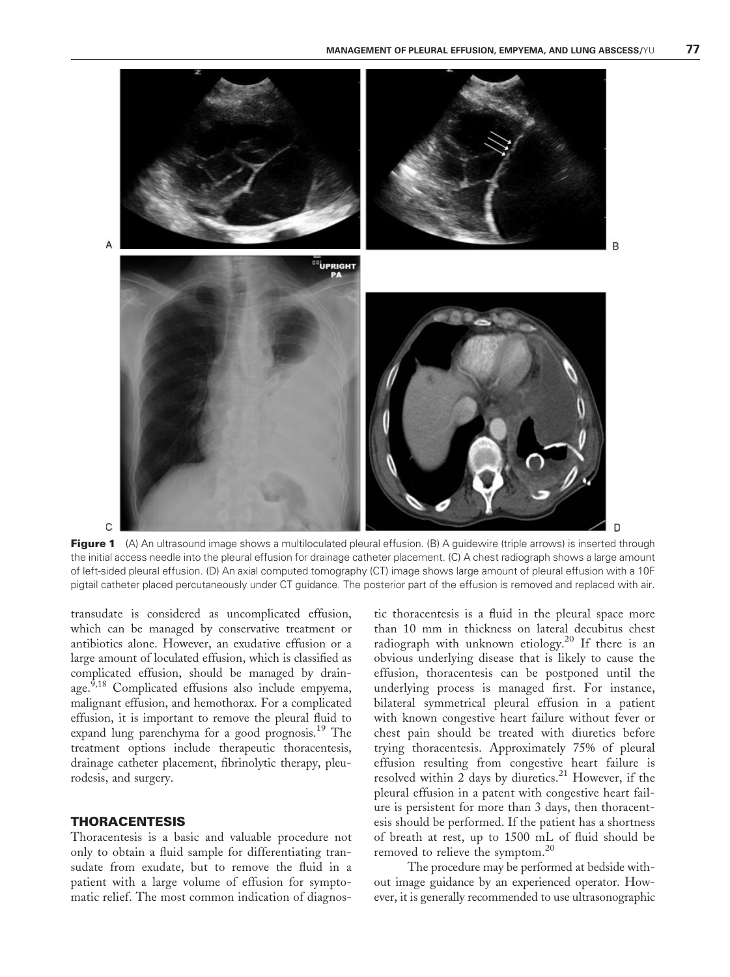

Figure 1 (A) An ultrasound image shows a multiloculated pleural effusion. (B) A quidewire (triple arrows) is inserted through the initial access needle into the pleural effusion for drainage catheter placement. (C) A chest radiograph shows a large amount of left-sided pleural effusion. (D) An axial computed tomography (CT) image shows large amount of pleural effusion with a 10F pigtail catheter placed percutaneously under CT guidance. The posterior part of the effusion is removed and replaced with air.

transudate is considered as uncomplicated effusion, which can be managed by conservative treatment or antibiotics alone. However, an exudative effusion or a large amount of loculated effusion, which is classified as complicated effusion, should be managed by drainage.<sup>9,18</sup> Complicated effusions also include empyema, malignant effusion, and hemothorax. For a complicated effusion, it is important to remove the pleural fluid to expand lung parenchyma for a good prognosis.<sup>19</sup> The treatment options include therapeutic thoracentesis, drainage catheter placement, fibrinolytic therapy, pleurodesis, and surgery.

## THORACENTESIS

Thoracentesis is a basic and valuable procedure not only to obtain a fluid sample for differentiating transudate from exudate, but to remove the fluid in a patient with a large volume of effusion for symptomatic relief. The most common indication of diagnostic thoracentesis is a fluid in the pleural space more than 10 mm in thickness on lateral decubitus chest radiograph with unknown etiology.<sup>20</sup> If there is an obvious underlying disease that is likely to cause the effusion, thoracentesis can be postponed until the underlying process is managed first. For instance, bilateral symmetrical pleural effusion in a patient with known congestive heart failure without fever or chest pain should be treated with diuretics before trying thoracentesis. Approximately 75% of pleural effusion resulting from congestive heart failure is resolved within 2 days by diuretics.<sup>21</sup> However, if the pleural effusion in a patent with congestive heart failure is persistent for more than 3 days, then thoracentesis should be performed. If the patient has a shortness of breath at rest, up to 1500 mL of fluid should be removed to relieve the symptom.<sup>20</sup>

The procedure may be performed at bedside without image guidance by an experienced operator. However, it is generally recommended to use ultrasonographic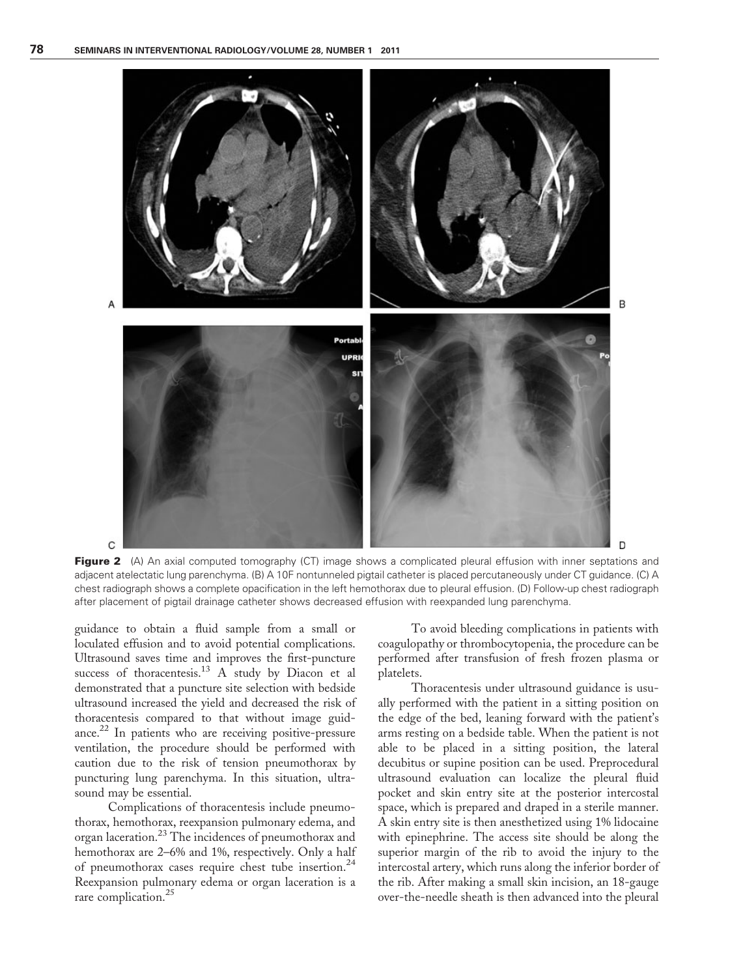

Figure 2 (A) An axial computed tomography (CT) image shows a complicated pleural effusion with inner septations and adjacent atelectatic lung parenchyma. (B) A 10F nontunneled pigtail catheter is placed percutaneously under CT guidance. (C) A chest radiograph shows a complete opacification in the left hemothorax due to pleural effusion. (D) Follow-up chest radiograph after placement of pigtail drainage catheter shows decreased effusion with reexpanded lung parenchyma.

guidance to obtain a fluid sample from a small or loculated effusion and to avoid potential complications. Ultrasound saves time and improves the first-puncture success of thoracentesis.<sup>13</sup> A study by Diacon et al demonstrated that a puncture site selection with bedside ultrasound increased the yield and decreased the risk of thoracentesis compared to that without image guidance.22 In patients who are receiving positive-pressure ventilation, the procedure should be performed with caution due to the risk of tension pneumothorax by puncturing lung parenchyma. In this situation, ultrasound may be essential.

Complications of thoracentesis include pneumothorax, hemothorax, reexpansion pulmonary edema, and organ laceration.23 The incidences of pneumothorax and hemothorax are 2–6% and 1%, respectively. Only a half of pneumothorax cases require chest tube insertion.<sup>24</sup> Reexpansion pulmonary edema or organ laceration is a rare complication.<sup>25</sup>

To avoid bleeding complications in patients with coagulopathy or thrombocytopenia, the procedure can be performed after transfusion of fresh frozen plasma or platelets.

Thoracentesis under ultrasound guidance is usually performed with the patient in a sitting position on the edge of the bed, leaning forward with the patient's arms resting on a bedside table. When the patient is not able to be placed in a sitting position, the lateral decubitus or supine position can be used. Preprocedural ultrasound evaluation can localize the pleural fluid pocket and skin entry site at the posterior intercostal space, which is prepared and draped in a sterile manner. A skin entry site is then anesthetized using 1% lidocaine with epinephrine. The access site should be along the superior margin of the rib to avoid the injury to the intercostal artery, which runs along the inferior border of the rib. After making a small skin incision, an 18-gauge over-the-needle sheath is then advanced into the pleural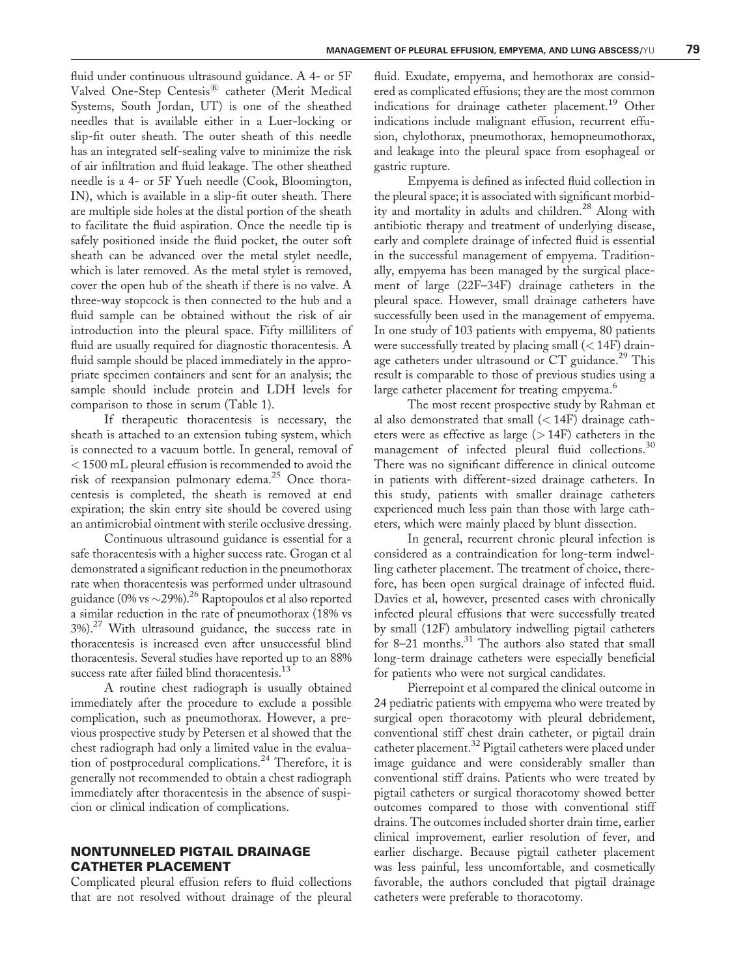fluid under continuous ultrasound guidance. A 4- or 5F Valved One-Step Centesis<sup>®</sup> catheter (Merit Medical Systems, South Jordan, UT) is one of the sheathed needles that is available either in a Luer-locking or slip-fit outer sheath. The outer sheath of this needle has an integrated self-sealing valve to minimize the risk of air infiltration and fluid leakage. The other sheathed needle is a 4- or 5F Yueh needle (Cook, Bloomington, IN), which is available in a slip-fit outer sheath. There are multiple side holes at the distal portion of the sheath to facilitate the fluid aspiration. Once the needle tip is safely positioned inside the fluid pocket, the outer soft sheath can be advanced over the metal stylet needle, which is later removed. As the metal stylet is removed, cover the open hub of the sheath if there is no valve. A three-way stopcock is then connected to the hub and a fluid sample can be obtained without the risk of air introduction into the pleural space. Fifty milliliters of fluid are usually required for diagnostic thoracentesis. A fluid sample should be placed immediately in the appropriate specimen containers and sent for an analysis; the sample should include protein and LDH levels for comparison to those in serum (Table 1).

If therapeutic thoracentesis is necessary, the sheath is attached to an extension tubing system, which is connected to a vacuum bottle. In general, removal of < 1500 mL pleural effusion is recommended to avoid the risk of reexpansion pulmonary edema.<sup>25</sup> Once thoracentesis is completed, the sheath is removed at end expiration; the skin entry site should be covered using an antimicrobial ointment with sterile occlusive dressing.

Continuous ultrasound guidance is essential for a safe thoracentesis with a higher success rate. Grogan et al demonstrated a significant reduction in the pneumothorax rate when thoracentesis was performed under ultrasound guidance (0% vs  $\sim$ 29%).<sup>26</sup> Raptopoulos et al also reported a similar reduction in the rate of pneumothorax (18% vs 3%).27 With ultrasound guidance, the success rate in thoracentesis is increased even after unsuccessful blind thoracentesis. Several studies have reported up to an 88% success rate after failed blind thoracentesis.<sup>13</sup>

A routine chest radiograph is usually obtained immediately after the procedure to exclude a possible complication, such as pneumothorax. However, a previous prospective study by Petersen et al showed that the chest radiograph had only a limited value in the evaluation of postprocedural complications.<sup>24</sup> Therefore, it is generally not recommended to obtain a chest radiograph immediately after thoracentesis in the absence of suspicion or clinical indication of complications.

## NONTUNNELED PIGTAIL DRAINAGE CATHETER PLACEMENT

Complicated pleural effusion refers to fluid collections that are not resolved without drainage of the pleural fluid. Exudate, empyema, and hemothorax are considered as complicated effusions; they are the most common indications for drainage catheter placement.<sup>19</sup> Other indications include malignant effusion, recurrent effusion, chylothorax, pneumothorax, hemopneumothorax, and leakage into the pleural space from esophageal or gastric rupture.

Empyema is defined as infected fluid collection in the pleural space; it is associated with significant morbidity and mortality in adults and children.<sup>28</sup> Along with antibiotic therapy and treatment of underlying disease, early and complete drainage of infected fluid is essential in the successful management of empyema. Traditionally, empyema has been managed by the surgical placement of large (22F–34F) drainage catheters in the pleural space. However, small drainage catheters have successfully been used in the management of empyema. In one study of 103 patients with empyema, 80 patients were successfully treated by placing small (< 14F) drainage catheters under ultrasound or  $CT$  guidance.<sup>29</sup> This result is comparable to those of previous studies using a large catheter placement for treating empyema.<sup>6</sup>

The most recent prospective study by Rahman et al also demonstrated that small  $(<14F)$  drainage catheters were as effective as large  $(>14F)$  catheters in the management of infected pleural fluid collections.<sup>30</sup> There was no significant difference in clinical outcome in patients with different-sized drainage catheters. In this study, patients with smaller drainage catheters experienced much less pain than those with large catheters, which were mainly placed by blunt dissection.

In general, recurrent chronic pleural infection is considered as a contraindication for long-term indwelling catheter placement. The treatment of choice, therefore, has been open surgical drainage of infected fluid. Davies et al, however, presented cases with chronically infected pleural effusions that were successfully treated by small (12F) ambulatory indwelling pigtail catheters for 8-21 months.<sup>31</sup> The authors also stated that small long-term drainage catheters were especially beneficial for patients who were not surgical candidates.

Pierrepoint et al compared the clinical outcome in 24 pediatric patients with empyema who were treated by surgical open thoracotomy with pleural debridement, conventional stiff chest drain catheter, or pigtail drain catheter placement.<sup>32</sup> Pigtail catheters were placed under image guidance and were considerably smaller than conventional stiff drains. Patients who were treated by pigtail catheters or surgical thoracotomy showed better outcomes compared to those with conventional stiff drains. The outcomes included shorter drain time, earlier clinical improvement, earlier resolution of fever, and earlier discharge. Because pigtail catheter placement was less painful, less uncomfortable, and cosmetically favorable, the authors concluded that pigtail drainage catheters were preferable to thoracotomy.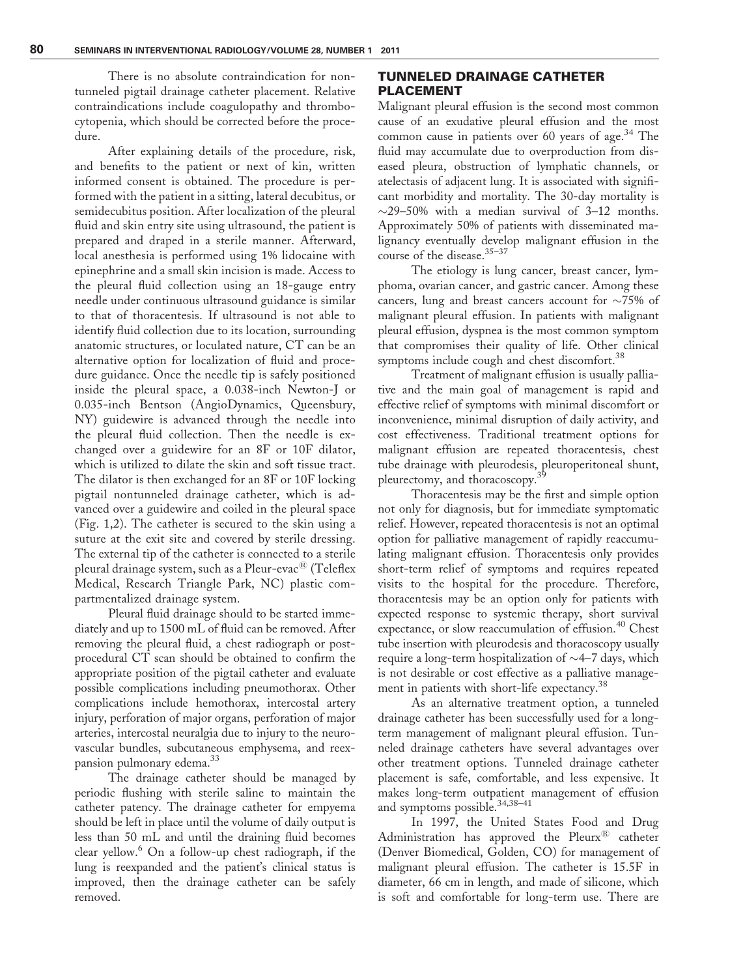There is no absolute contraindication for nontunneled pigtail drainage catheter placement. Relative contraindications include coagulopathy and thrombocytopenia, which should be corrected before the procedure.

After explaining details of the procedure, risk, and benefits to the patient or next of kin, written informed consent is obtained. The procedure is performed with the patient in a sitting, lateral decubitus, or semidecubitus position. After localization of the pleural fluid and skin entry site using ultrasound, the patient is prepared and draped in a sterile manner. Afterward, local anesthesia is performed using 1% lidocaine with epinephrine and a small skin incision is made. Access to the pleural fluid collection using an 18-gauge entry needle under continuous ultrasound guidance is similar to that of thoracentesis. If ultrasound is not able to identify fluid collection due to its location, surrounding anatomic structures, or loculated nature, CT can be an alternative option for localization of fluid and procedure guidance. Once the needle tip is safely positioned inside the pleural space, a 0.038-inch Newton-J or 0.035-inch Bentson (AngioDynamics, Queensbury, NY) guidewire is advanced through the needle into the pleural fluid collection. Then the needle is exchanged over a guidewire for an 8F or 10F dilator, which is utilized to dilate the skin and soft tissue tract. The dilator is then exchanged for an 8F or 10F locking pigtail nontunneled drainage catheter, which is advanced over a guidewire and coiled in the pleural space (Fig. 1,2). The catheter is secured to the skin using a suture at the exit site and covered by sterile dressing. The external tip of the catheter is connected to a sterile pleural drainage system, such as a Pleur-evac<sup>®</sup> (Teleflex Medical, Research Triangle Park, NC) plastic compartmentalized drainage system.

Pleural fluid drainage should to be started immediately and up to 1500 mL of fluid can be removed. After removing the pleural fluid, a chest radiograph or postprocedural CT scan should be obtained to confirm the appropriate position of the pigtail catheter and evaluate possible complications including pneumothorax. Other complications include hemothorax, intercostal artery injury, perforation of major organs, perforation of major arteries, intercostal neuralgia due to injury to the neurovascular bundles, subcutaneous emphysema, and reexpansion pulmonary edema.<sup>33</sup>

The drainage catheter should be managed by periodic flushing with sterile saline to maintain the catheter patency. The drainage catheter for empyema should be left in place until the volume of daily output is less than 50 mL and until the draining fluid becomes clear yellow.<sup>6</sup> On a follow-up chest radiograph, if the lung is reexpanded and the patient's clinical status is improved, then the drainage catheter can be safely removed.

## TUNNELED DRAINAGE CATHETER PLACEMENT

Malignant pleural effusion is the second most common cause of an exudative pleural effusion and the most common cause in patients over 60 years of age.<sup>34</sup> The fluid may accumulate due to overproduction from diseased pleura, obstruction of lymphatic channels, or atelectasis of adjacent lung. It is associated with significant morbidity and mortality. The 30-day mortality is  $\sim$ 29–50% with a median survival of 3–12 months. Approximately 50% of patients with disseminated malignancy eventually develop malignant effusion in the course of the disease.<sup>35-37</sup>

The etiology is lung cancer, breast cancer, lymphoma, ovarian cancer, and gastric cancer. Among these cancers, lung and breast cancers account for  $\sim$ 75% of malignant pleural effusion. In patients with malignant pleural effusion, dyspnea is the most common symptom that compromises their quality of life. Other clinical symptoms include cough and chest discomfort.<sup>38</sup>

Treatment of malignant effusion is usually palliative and the main goal of management is rapid and effective relief of symptoms with minimal discomfort or inconvenience, minimal disruption of daily activity, and cost effectiveness. Traditional treatment options for malignant effusion are repeated thoracentesis, chest tube drainage with pleurodesis, pleuroperitoneal shunt, pleurectomy, and thoracoscopy.<sup>3</sup>

Thoracentesis may be the first and simple option not only for diagnosis, but for immediate symptomatic relief. However, repeated thoracentesis is not an optimal option for palliative management of rapidly reaccumulating malignant effusion. Thoracentesis only provides short-term relief of symptoms and requires repeated visits to the hospital for the procedure. Therefore, thoracentesis may be an option only for patients with expected response to systemic therapy, short survival expectance, or slow reaccumulation of effusion.<sup>40</sup> Chest tube insertion with pleurodesis and thoracoscopy usually require a long-term hospitalization of  $\sim$  4–7 days, which is not desirable or cost effective as a palliative management in patients with short-life expectancy.<sup>38</sup>

As an alternative treatment option, a tunneled drainage catheter has been successfully used for a longterm management of malignant pleural effusion. Tunneled drainage catheters have several advantages over other treatment options. Tunneled drainage catheter placement is safe, comfortable, and less expensive. It makes long-term outpatient management of effusion and symptoms possible.<sup>34,38-41</sup>

In 1997, the United States Food and Drug Administration has approved the Pleurx<sup>®</sup> catheter (Denver Biomedical, Golden, CO) for management of malignant pleural effusion. The catheter is 15.5F in diameter, 66 cm in length, and made of silicone, which is soft and comfortable for long-term use. There are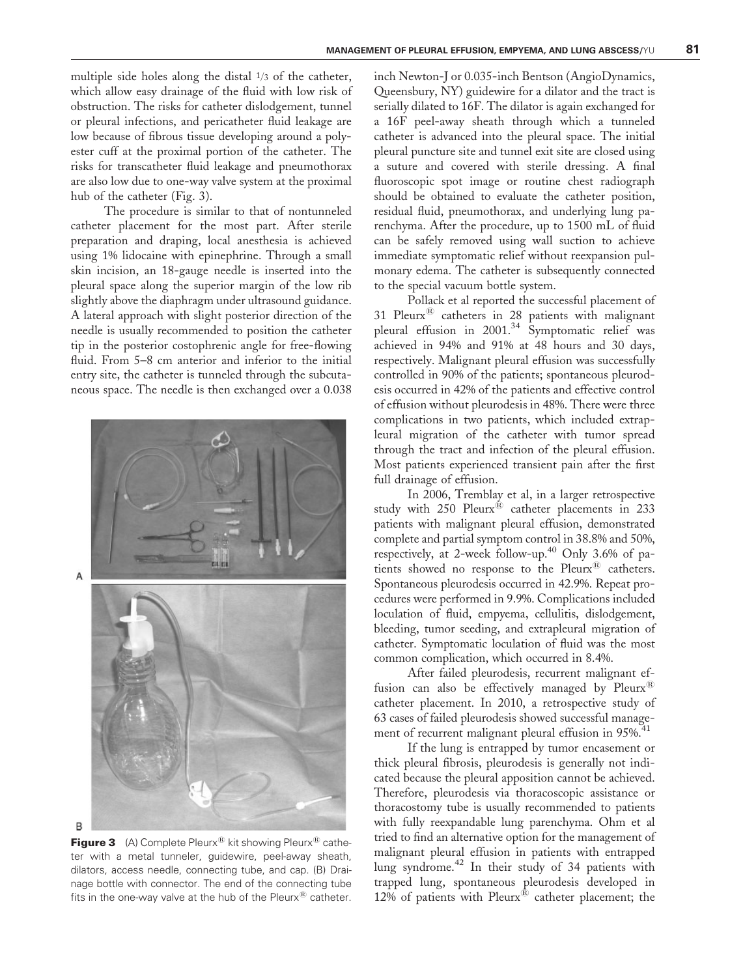multiple side holes along the distal  $\frac{1}{3}$  of the catheter, which allow easy drainage of the fluid with low risk of obstruction. The risks for catheter dislodgement, tunnel or pleural infections, and pericatheter fluid leakage are low because of fibrous tissue developing around a polyester cuff at the proximal portion of the catheter. The risks for transcatheter fluid leakage and pneumothorax are also low due to one-way valve system at the proximal hub of the catheter (Fig. 3).

The procedure is similar to that of nontunneled catheter placement for the most part. After sterile preparation and draping, local anesthesia is achieved using 1% lidocaine with epinephrine. Through a small skin incision, an 18-gauge needle is inserted into the pleural space along the superior margin of the low rib slightly above the diaphragm under ultrasound guidance. A lateral approach with slight posterior direction of the needle is usually recommended to position the catheter tip in the posterior costophrenic angle for free-flowing fluid. From 5–8 cm anterior and inferior to the initial entry site, the catheter is tunneled through the subcutaneous space. The needle is then exchanged over a 0.038



**Figure 3** (A) Complete Pleurx<sup>®</sup> kit showing Pleurx<sup>®</sup> catheter with a metal tunneler, guidewire, peel-away sheath, dilators, access needle, connecting tube, and cap. (B) Drainage bottle with connector. The end of the connecting tube fits in the one-way valve at the hub of the Pleurx $^{\circledR}$  catheter.

inch Newton-J or 0.035-inch Bentson (AngioDynamics, Queensbury, NY) guidewire for a dilator and the tract is serially dilated to 16F. The dilator is again exchanged for a 16F peel-away sheath through which a tunneled catheter is advanced into the pleural space. The initial pleural puncture site and tunnel exit site are closed using a suture and covered with sterile dressing. A final fluoroscopic spot image or routine chest radiograph should be obtained to evaluate the catheter position, residual fluid, pneumothorax, and underlying lung parenchyma. After the procedure, up to 1500 mL of fluid can be safely removed using wall suction to achieve immediate symptomatic relief without reexpansion pulmonary edema. The catheter is subsequently connected to the special vacuum bottle system.

Pollack et al reported the successful placement of 31 Pleurx $^{\circledR}$  catheters in 28 patients with malignant pleural effusion in 2001.<sup>34</sup> Symptomatic relief was achieved in 94% and 91% at 48 hours and 30 days, respectively. Malignant pleural effusion was successfully controlled in 90% of the patients; spontaneous pleurodesis occurred in 42% of the patients and effective control of effusion without pleurodesis in 48%. There were three complications in two patients, which included extrapleural migration of the catheter with tumor spread through the tract and infection of the pleural effusion. Most patients experienced transient pain after the first full drainage of effusion.

In 2006, Tremblay et al, in a larger retrospective study with  $250$  Pleurx<sup>®</sup> catheter placements in  $233$ patients with malignant pleural effusion, demonstrated complete and partial symptom control in 38.8% and 50%, respectively, at 2-week follow-up.40 Only 3.6% of patients showed no response to the  $P$ leurx $^{\circledR}$  catheters. Spontaneous pleurodesis occurred in 42.9%. Repeat procedures were performed in 9.9%. Complications included loculation of fluid, empyema, cellulitis, dislodgement, bleeding, tumor seeding, and extrapleural migration of catheter. Symptomatic loculation of fluid was the most common complication, which occurred in 8.4%.

After failed pleurodesis, recurrent malignant effusion can also be effectively managed by  $P$ leurx<sup>®</sup> catheter placement. In 2010, a retrospective study of 63 cases of failed pleurodesis showed successful management of recurrent malignant pleural effusion in 95%.<sup>41</sup>

If the lung is entrapped by tumor encasement or thick pleural fibrosis, pleurodesis is generally not indicated because the pleural apposition cannot be achieved. Therefore, pleurodesis via thoracoscopic assistance or thoracostomy tube is usually recommended to patients with fully reexpandable lung parenchyma. Ohm et al tried to find an alternative option for the management of malignant pleural effusion in patients with entrapped lung syndrome.<sup>42</sup> In their study of 34 patients with trapped lung, spontaneous pleurodesis developed in 12% of patients with  $P$ leurx $^{\circledR}$  catheter placement; the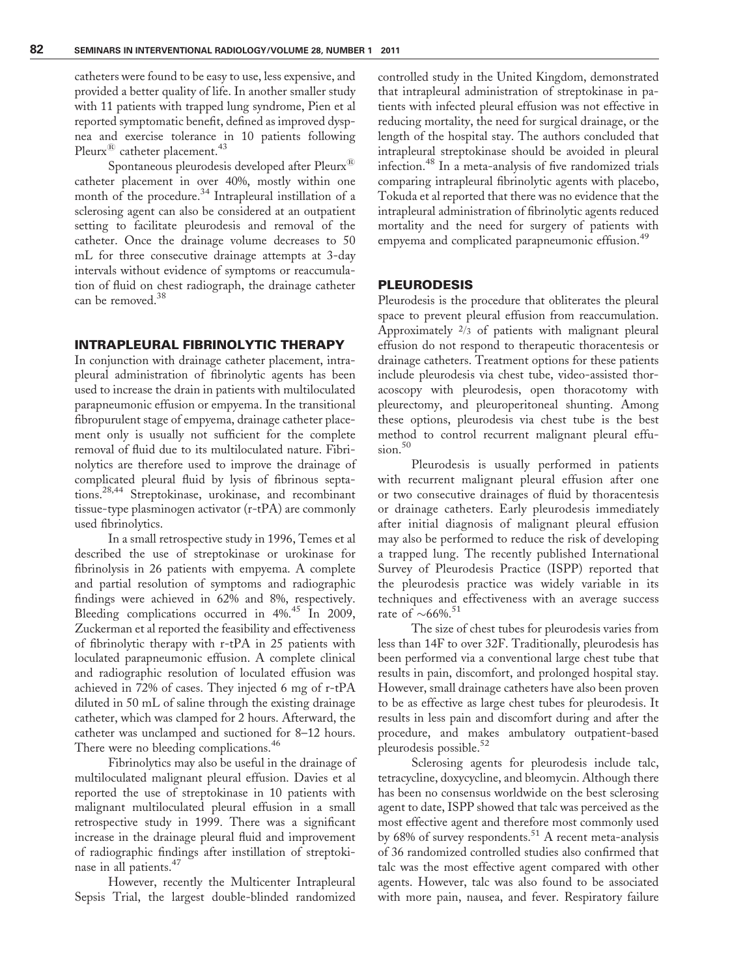catheters were found to be easy to use, less expensive, and provided a better quality of life. In another smaller study with 11 patients with trapped lung syndrome, Pien et al reported symptomatic benefit, defined as improved dyspnea and exercise tolerance in 10 patients following Pleurx<sup>®</sup> catheter placement.<sup>43</sup>

Spontaneous pleurodesis developed after Pleurx<sup>®</sup> catheter placement in over 40%, mostly within one month of the procedure.<sup>34</sup> Intrapleural instillation of a sclerosing agent can also be considered at an outpatient setting to facilitate pleurodesis and removal of the catheter. Once the drainage volume decreases to 50 mL for three consecutive drainage attempts at 3-day intervals without evidence of symptoms or reaccumulation of fluid on chest radiograph, the drainage catheter can be removed.<sup>38</sup>

#### INTRAPLEURAL FIBRINOLYTIC THERAPY

In conjunction with drainage catheter placement, intrapleural administration of fibrinolytic agents has been used to increase the drain in patients with multiloculated parapneumonic effusion or empyema. In the transitional fibropurulent stage of empyema, drainage catheter placement only is usually not sufficient for the complete removal of fluid due to its multiloculated nature. Fibrinolytics are therefore used to improve the drainage of complicated pleural fluid by lysis of fibrinous septations.28,44 Streptokinase, urokinase, and recombinant tissue-type plasminogen activator (r-tPA) are commonly used fibrinolytics.

In a small retrospective study in 1996, Temes et al described the use of streptokinase or urokinase for fibrinolysis in 26 patients with empyema. A complete and partial resolution of symptoms and radiographic findings were achieved in 62% and 8%, respectively. Bleeding complications occurred in 4%.<sup>45</sup> In 2009, Zuckerman et al reported the feasibility and effectiveness of fibrinolytic therapy with r-tPA in 25 patients with loculated parapneumonic effusion. A complete clinical and radiographic resolution of loculated effusion was achieved in 72% of cases. They injected 6 mg of r-tPA diluted in 50 mL of saline through the existing drainage catheter, which was clamped for 2 hours. Afterward, the catheter was unclamped and suctioned for 8–12 hours. There were no bleeding complications.<sup>46</sup>

Fibrinolytics may also be useful in the drainage of multiloculated malignant pleural effusion. Davies et al reported the use of streptokinase in 10 patients with malignant multiloculated pleural effusion in a small retrospective study in 1999. There was a significant increase in the drainage pleural fluid and improvement of radiographic findings after instillation of streptokinase in all patients.<sup>47</sup>

However, recently the Multicenter Intrapleural Sepsis Trial, the largest double-blinded randomized

controlled study in the United Kingdom, demonstrated that intrapleural administration of streptokinase in patients with infected pleural effusion was not effective in reducing mortality, the need for surgical drainage, or the length of the hospital stay. The authors concluded that intrapleural streptokinase should be avoided in pleural infection.<sup>48</sup> In a meta-analysis of five randomized trials comparing intrapleural fibrinolytic agents with placebo, Tokuda et al reported that there was no evidence that the intrapleural administration of fibrinolytic agents reduced mortality and the need for surgery of patients with empyema and complicated parapneumonic effusion.<sup>49</sup>

#### PLEURODESIS

Pleurodesis is the procedure that obliterates the pleural space to prevent pleural effusion from reaccumulation. Approximately  $\frac{2}{3}$  of patients with malignant pleural effusion do not respond to therapeutic thoracentesis or drainage catheters. Treatment options for these patients include pleurodesis via chest tube, video-assisted thoracoscopy with pleurodesis, open thoracotomy with pleurectomy, and pleuroperitoneal shunting. Among these options, pleurodesis via chest tube is the best method to control recurrent malignant pleural effu $sion.<sup>50</sup>$ 

Pleurodesis is usually performed in patients with recurrent malignant pleural effusion after one or two consecutive drainages of fluid by thoracentesis or drainage catheters. Early pleurodesis immediately after initial diagnosis of malignant pleural effusion may also be performed to reduce the risk of developing a trapped lung. The recently published International Survey of Pleurodesis Practice (ISPP) reported that the pleurodesis practice was widely variable in its techniques and effectiveness with an average success rate of  $\sim 66\%$ .<sup>51</sup>

The size of chest tubes for pleurodesis varies from less than 14F to over 32F. Traditionally, pleurodesis has been performed via a conventional large chest tube that results in pain, discomfort, and prolonged hospital stay. However, small drainage catheters have also been proven to be as effective as large chest tubes for pleurodesis. It results in less pain and discomfort during and after the procedure, and makes ambulatory outpatient-based pleurodesis possible.<sup>52</sup>

Sclerosing agents for pleurodesis include talc, tetracycline, doxycycline, and bleomycin. Although there has been no consensus worldwide on the best sclerosing agent to date, ISPP showed that talc was perceived as the most effective agent and therefore most commonly used by 68% of survey respondents.<sup>51</sup> A recent meta-analysis of 36 randomized controlled studies also confirmed that talc was the most effective agent compared with other agents. However, talc was also found to be associated with more pain, nausea, and fever. Respiratory failure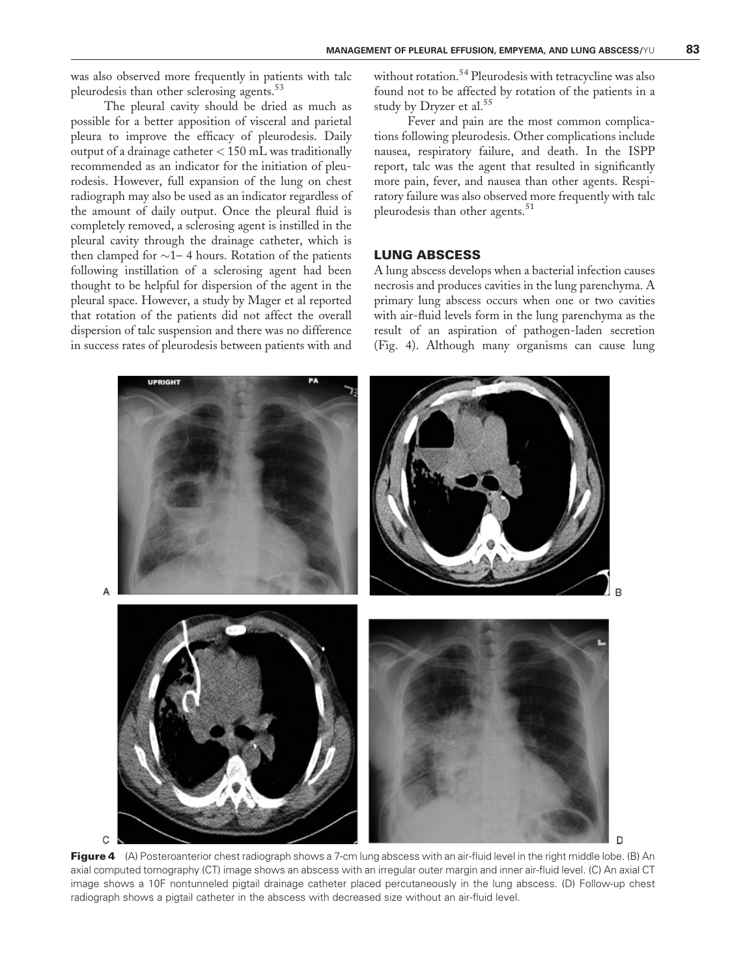was also observed more frequently in patients with talc pleurodesis than other sclerosing agents.<sup>53</sup>

The pleural cavity should be dried as much as possible for a better apposition of visceral and parietal pleura to improve the efficacy of pleurodesis. Daily output of a drainage catheter < 150 mL was traditionally recommended as an indicator for the initiation of pleurodesis. However, full expansion of the lung on chest radiograph may also be used as an indicator regardless of the amount of daily output. Once the pleural fluid is completely removed, a sclerosing agent is instilled in the pleural cavity through the drainage catheter, which is then clamped for  $\sim$  1– 4 hours. Rotation of the patients following instillation of a sclerosing agent had been thought to be helpful for dispersion of the agent in the pleural space. However, a study by Mager et al reported that rotation of the patients did not affect the overall dispersion of talc suspension and there was no difference in success rates of pleurodesis between patients with and without rotation.<sup>54</sup> Pleurodesis with tetracycline was also found not to be affected by rotation of the patients in a study by Dryzer et al.<sup>55</sup>

Fever and pain are the most common complications following pleurodesis. Other complications include nausea, respiratory failure, and death. In the ISPP report, talc was the agent that resulted in significantly more pain, fever, and nausea than other agents. Respiratory failure was also observed more frequently with talc pleurodesis than other agents.<sup>51</sup>

## LUNG ABSCESS

A lung abscess develops when a bacterial infection causes necrosis and produces cavities in the lung parenchyma. A primary lung abscess occurs when one or two cavities with air-fluid levels form in the lung parenchyma as the result of an aspiration of pathogen-laden secretion (Fig. 4). Although many organisms can cause lung



Figure 4 (A) Posteroanterior chest radiograph shows a 7-cm lung abscess with an air-fluid level in the right middle lobe. (B) An axial computed tomography (CT) image shows an abscess with an irregular outer margin and inner air-fluid level. (C) An axial CT image shows a 10F nontunneled pigtail drainage catheter placed percutaneously in the lung abscess. (D) Follow-up chest radiograph shows a pigtail catheter in the abscess with decreased size without an air-fluid level.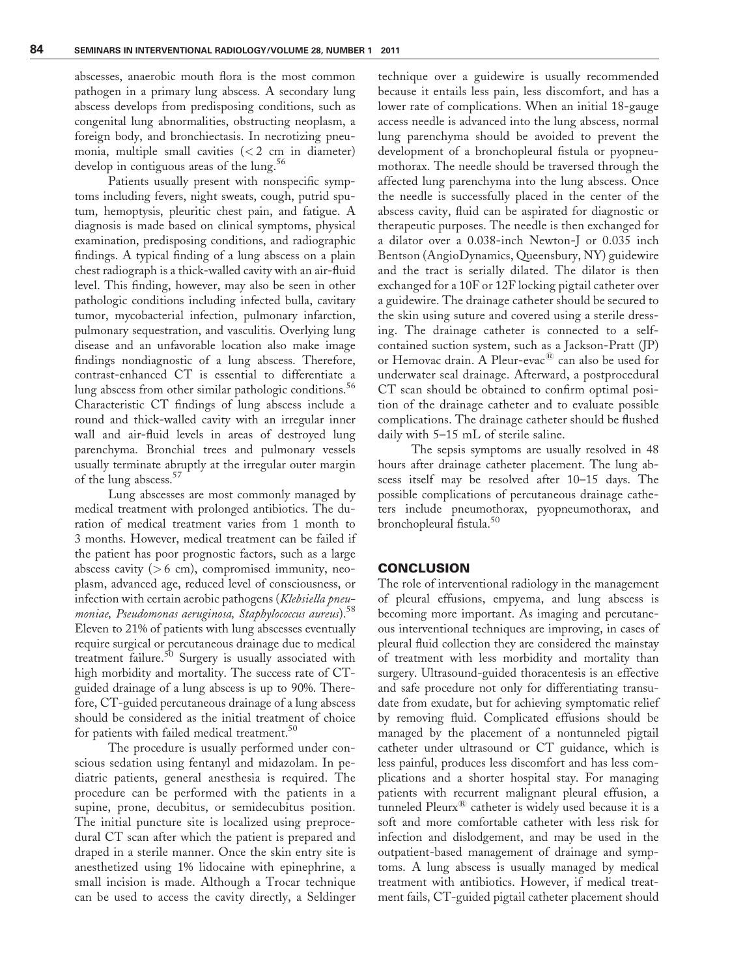abscesses, anaerobic mouth flora is the most common pathogen in a primary lung abscess. A secondary lung abscess develops from predisposing conditions, such as congenital lung abnormalities, obstructing neoplasm, a foreign body, and bronchiectasis. In necrotizing pneumonia, multiple small cavities  $(< 2$  cm in diameter) develop in contiguous areas of the lung.<sup>56</sup>

Patients usually present with nonspecific symptoms including fevers, night sweats, cough, putrid sputum, hemoptysis, pleuritic chest pain, and fatigue. A diagnosis is made based on clinical symptoms, physical examination, predisposing conditions, and radiographic findings. A typical finding of a lung abscess on a plain chest radiograph is a thick-walled cavity with an air-fluid level. This finding, however, may also be seen in other pathologic conditions including infected bulla, cavitary tumor, mycobacterial infection, pulmonary infarction, pulmonary sequestration, and vasculitis. Overlying lung disease and an unfavorable location also make image findings nondiagnostic of a lung abscess. Therefore, contrast-enhanced CT is essential to differentiate a lung abscess from other similar pathologic conditions.<sup>56</sup> Characteristic CT findings of lung abscess include a round and thick-walled cavity with an irregular inner wall and air-fluid levels in areas of destroyed lung parenchyma. Bronchial trees and pulmonary vessels usually terminate abruptly at the irregular outer margin of the lung abscess.<sup>57</sup>

Lung abscesses are most commonly managed by medical treatment with prolonged antibiotics. The duration of medical treatment varies from 1 month to 3 months. However, medical treatment can be failed if the patient has poor prognostic factors, such as a large abscess cavity  $(> 6$  cm), compromised immunity, neoplasm, advanced age, reduced level of consciousness, or infection with certain aerobic pathogens (Klebsiella pneumoniae, Pseudomonas aeruginosa, Staphylococcus aureus).<sup>58</sup> Eleven to 21% of patients with lung abscesses eventually require surgical or percutaneous drainage due to medical treatment failure.<sup>50</sup> Surgery is usually associated with high morbidity and mortality. The success rate of CTguided drainage of a lung abscess is up to 90%. Therefore, CT-guided percutaneous drainage of a lung abscess should be considered as the initial treatment of choice for patients with failed medical treatment.<sup>50</sup>

The procedure is usually performed under conscious sedation using fentanyl and midazolam. In pediatric patients, general anesthesia is required. The procedure can be performed with the patients in a supine, prone, decubitus, or semidecubitus position. The initial puncture site is localized using preprocedural CT scan after which the patient is prepared and draped in a sterile manner. Once the skin entry site is anesthetized using 1% lidocaine with epinephrine, a small incision is made. Although a Trocar technique can be used to access the cavity directly, a Seldinger

technique over a guidewire is usually recommended because it entails less pain, less discomfort, and has a lower rate of complications. When an initial 18-gauge access needle is advanced into the lung abscess, normal lung parenchyma should be avoided to prevent the development of a bronchopleural fistula or pyopneumothorax. The needle should be traversed through the affected lung parenchyma into the lung abscess. Once the needle is successfully placed in the center of the abscess cavity, fluid can be aspirated for diagnostic or therapeutic purposes. The needle is then exchanged for a dilator over a 0.038-inch Newton-J or 0.035 inch Bentson (AngioDynamics, Queensbury, NY) guidewire and the tract is serially dilated. The dilator is then exchanged for a 10F or 12F locking pigtail catheter over a guidewire. The drainage catheter should be secured to the skin using suture and covered using a sterile dressing. The drainage catheter is connected to a selfcontained suction system, such as a Jackson-Pratt (JP) or Hemovac drain. A Pleur-evac<sup>®</sup> can also be used for underwater seal drainage. Afterward, a postprocedural CT scan should be obtained to confirm optimal position of the drainage catheter and to evaluate possible complications. The drainage catheter should be flushed daily with 5–15 mL of sterile saline.

The sepsis symptoms are usually resolved in 48 hours after drainage catheter placement. The lung abscess itself may be resolved after 10–15 days. The possible complications of percutaneous drainage catheters include pneumothorax, pyopneumothorax, and bronchopleural fistula.<sup>50</sup>

#### CONCLUSION

The role of interventional radiology in the management of pleural effusions, empyema, and lung abscess is becoming more important. As imaging and percutaneous interventional techniques are improving, in cases of pleural fluid collection they are considered the mainstay of treatment with less morbidity and mortality than surgery. Ultrasound-guided thoracentesis is an effective and safe procedure not only for differentiating transudate from exudate, but for achieving symptomatic relief by removing fluid. Complicated effusions should be managed by the placement of a nontunneled pigtail catheter under ultrasound or CT guidance, which is less painful, produces less discomfort and has less complications and a shorter hospital stay. For managing patients with recurrent malignant pleural effusion, a tunneled  $P$ leurx $^{\circledR}$  catheter is widely used because it is a soft and more comfortable catheter with less risk for infection and dislodgement, and may be used in the outpatient-based management of drainage and symptoms. A lung abscess is usually managed by medical treatment with antibiotics. However, if medical treatment fails, CT-guided pigtail catheter placement should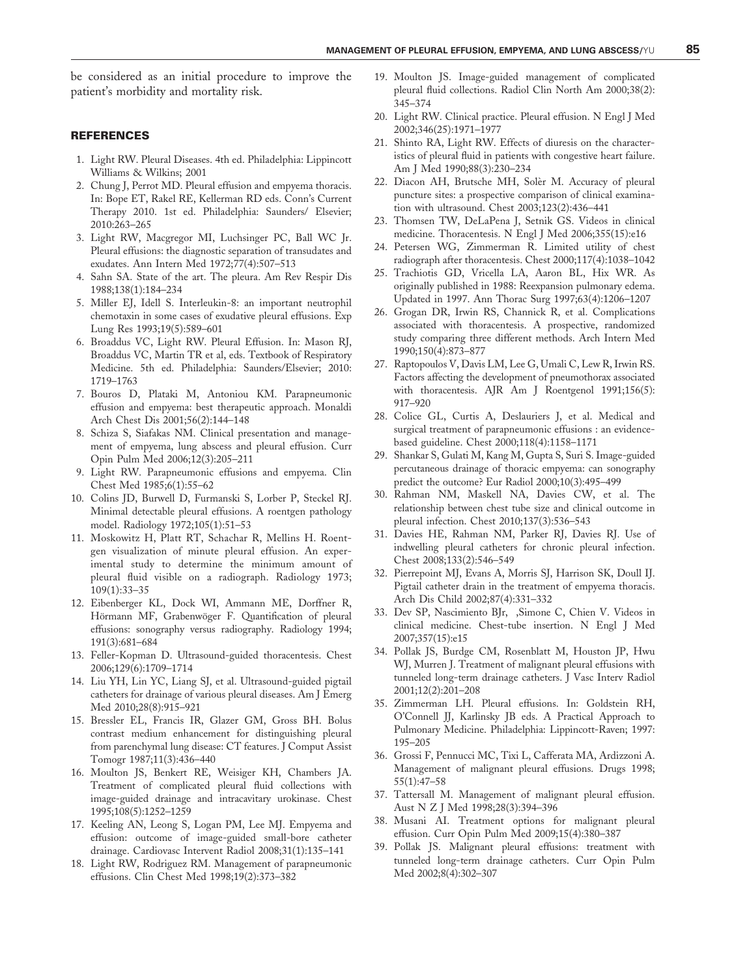be considered as an initial procedure to improve the patient's morbidity and mortality risk.

#### REFERENCES

- 1. Light RW. Pleural Diseases. 4th ed. Philadelphia: Lippincott Williams & Wilkins; 2001
- 2. Chung J, Perrot MD. Pleural effusion and empyema thoracis. In: Bope ET, Rakel RE, Kellerman RD eds. Conn's Current Therapy 2010. 1st ed. Philadelphia: Saunders/ Elsevier; 2010:263–265
- 3. Light RW, Macgregor MI, Luchsinger PC, Ball WC Jr. Pleural effusions: the diagnostic separation of transudates and exudates. Ann Intern Med 1972;77(4):507–513
- 4. Sahn SA. State of the art. The pleura. Am Rev Respir Dis 1988;138(1):184–234
- 5. Miller EJ, Idell S. Interleukin-8: an important neutrophil chemotaxin in some cases of exudative pleural effusions. Exp Lung Res 1993;19(5):589–601
- 6. Broaddus VC, Light RW. Pleural Effusion. In: Mason RJ, Broaddus VC, Martin TR et al, eds. Textbook of Respiratory Medicine. 5th ed. Philadelphia: Saunders/Elsevier; 2010: 1719–1763
- 7. Bouros D, Plataki M, Antoniou KM. Parapneumonic effusion and empyema: best therapeutic approach. Monaldi Arch Chest Dis 2001;56(2):144–148
- 8. Schiza S, Siafakas NM. Clinical presentation and management of empyema, lung abscess and pleural effusion. Curr Opin Pulm Med 2006;12(3):205–211
- 9. Light RW. Parapneumonic effusions and empyema. Clin Chest Med 1985;6(1):55–62
- 10. Colins JD, Burwell D, Furmanski S, Lorber P, Steckel RJ. Minimal detectable pleural effusions. A roentgen pathology model. Radiology 1972;105(1):51–53
- 11. Moskowitz H, Platt RT, Schachar R, Mellins H. Roentgen visualization of minute pleural effusion. An experimental study to determine the minimum amount of pleural fluid visible on a radiograph. Radiology 1973; 109(1):33–35
- 12. Eibenberger KL, Dock WI, Ammann ME, Dorffner R, Hörmann MF, Grabenwöger F. Quantification of pleural effusions: sonography versus radiography. Radiology 1994; 191(3):681–684
- 13. Feller-Kopman D. Ultrasound-guided thoracentesis. Chest 2006;129(6):1709–1714
- 14. Liu YH, Lin YC, Liang SJ, et al. Ultrasound-guided pigtail catheters for drainage of various pleural diseases. Am J Emerg Med 2010;28(8):915–921
- 15. Bressler EL, Francis IR, Glazer GM, Gross BH. Bolus contrast medium enhancement for distinguishing pleural from parenchymal lung disease: CT features. J Comput Assist Tomogr 1987;11(3):436–440
- 16. Moulton JS, Benkert RE, Weisiger KH, Chambers JA. Treatment of complicated pleural fluid collections with image-guided drainage and intracavitary urokinase. Chest 1995;108(5):1252–1259
- 17. Keeling AN, Leong S, Logan PM, Lee MJ. Empyema and effusion: outcome of image-guided small-bore catheter drainage. Cardiovasc Intervent Radiol 2008;31(1):135–141
- 18. Light RW, Rodriguez RM. Management of parapneumonic effusions. Clin Chest Med 1998;19(2):373–382
- 19. Moulton JS. Image-guided management of complicated pleural fluid collections. Radiol Clin North Am 2000;38(2): 345–374
- 20. Light RW. Clinical practice. Pleural effusion. N Engl J Med 2002;346(25):1971–1977
- 21. Shinto RA, Light RW. Effects of diuresis on the characteristics of pleural fluid in patients with congestive heart failure. Am J Med 1990;88(3):230–234
- 22. Diacon AH, Brutsche MH, Solèr M. Accuracy of pleural puncture sites: a prospective comparison of clinical examination with ultrasound. Chest 2003;123(2):436–441
- 23. Thomsen TW, DeLaPena J, Setnik GS. Videos in clinical medicine. Thoracentesis. N Engl J Med 2006;355(15):e16
- 24. Petersen WG, Zimmerman R. Limited utility of chest radiograph after thoracentesis. Chest 2000;117(4):1038–1042
- 25. Trachiotis GD, Vricella LA, Aaron BL, Hix WR. As originally published in 1988: Reexpansion pulmonary edema. Updated in 1997. Ann Thorac Surg 1997;63(4):1206–1207
- 26. Grogan DR, Irwin RS, Channick R, et al. Complications associated with thoracentesis. A prospective, randomized study comparing three different methods. Arch Intern Med 1990;150(4):873–877
- 27. Raptopoulos V, Davis LM, Lee G, Umali C, Lew R, Irwin RS. Factors affecting the development of pneumothorax associated with thoracentesis. AJR Am J Roentgenol 1991;156(5): 917–920
- 28. Colice GL, Curtis A, Deslauriers J, et al. Medical and surgical treatment of parapneumonic effusions : an evidencebased guideline. Chest 2000;118(4):1158–1171
- 29. Shankar S, Gulati M, Kang M, Gupta S, Suri S. Image-guided percutaneous drainage of thoracic empyema: can sonography predict the outcome? Eur Radiol 2000;10(3):495–499
- 30. Rahman NM, Maskell NA, Davies CW, et al. The relationship between chest tube size and clinical outcome in pleural infection. Chest 2010;137(3):536–543
- 31. Davies HE, Rahman NM, Parker RJ, Davies RJ. Use of indwelling pleural catheters for chronic pleural infection. Chest 2008;133(2):546–549
- 32. Pierrepoint MJ, Evans A, Morris SJ, Harrison SK, Doull IJ. Pigtail catheter drain in the treatment of empyema thoracis. Arch Dis Child 2002;87(4):331–332
- 33. Dev SP, Nascimiento BJr, ,Simone C, Chien V. Videos in clinical medicine. Chest-tube insertion. N Engl J Med 2007;357(15):e15
- 34. Pollak JS, Burdge CM, Rosenblatt M, Houston JP, Hwu WJ, Murren J. Treatment of malignant pleural effusions with tunneled long-term drainage catheters. J Vasc Interv Radiol 2001;12(2):201–208
- 35. Zimmerman LH. Pleural effusions. In: Goldstein RH, O'Connell JJ, Karlinsky JB eds. A Practical Approach to Pulmonary Medicine. Philadelphia: Lippincott-Raven; 1997: 195–205
- 36. Grossi F, Pennucci MC, Tixi L, Cafferata MA, Ardizzoni A. Management of malignant pleural effusions. Drugs 1998; 55(1):47–58
- 37. Tattersall M. Management of malignant pleural effusion. Aust N Z J Med 1998;28(3):394–396
- 38. Musani AI. Treatment options for malignant pleural effusion. Curr Opin Pulm Med 2009;15(4):380–387
- 39. Pollak JS. Malignant pleural effusions: treatment with tunneled long-term drainage catheters. Curr Opin Pulm Med 2002;8(4):302–307